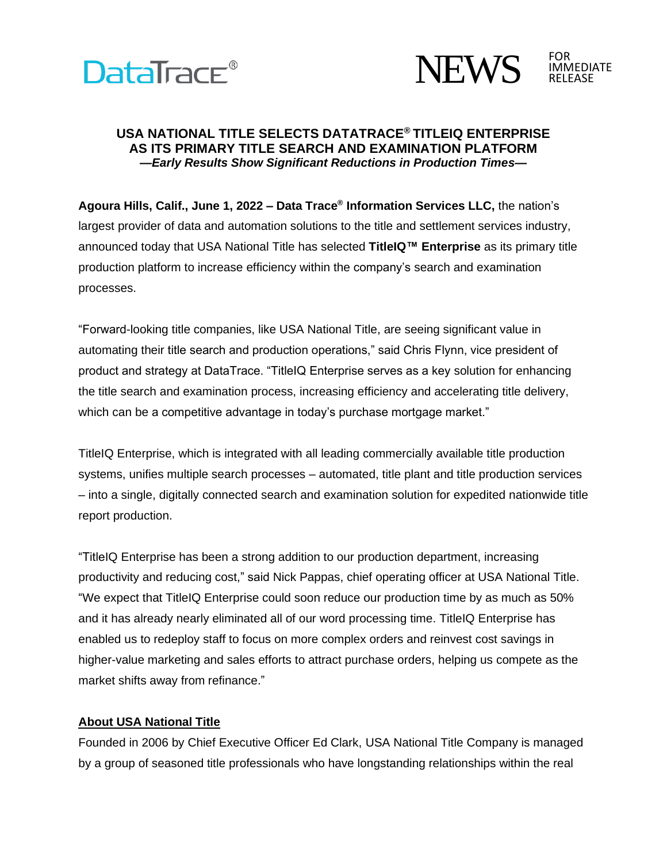



## **USA NATIONAL TITLE SELECTS DATATRACE® TITLEIQ ENTERPRISE AS ITS PRIMARY TITLE SEARCH AND EXAMINATION PLATFORM** *—Early Results Show Significant Reductions in Production Times—*

**Agoura Hills, Calif., June 1, 2022 – Data Trace® Information Services LLC,** the nation's largest provider of data and automation solutions to the title and settlement services industry, announced today that USA National Title has selected **TitleIQ™ Enterprise** as its primary title production platform to increase efficiency within the company's search and examination processes.

"Forward-looking title companies, like USA National Title, are seeing significant value in automating their title search and production operations," said Chris Flynn, vice president of product and strategy at DataTrace. "TitleIQ Enterprise serves as a key solution for enhancing the title search and examination process, increasing efficiency and accelerating title delivery, which can be a competitive advantage in today's purchase mortgage market."

TitleIQ Enterprise, which is integrated with all leading commercially available title production systems, unifies multiple search processes – automated, title plant and title production services – into a single, digitally connected search and examination solution for expedited nationwide title report production.

"TitleIQ Enterprise has been a strong addition to our production department, increasing productivity and reducing cost," said Nick Pappas, chief operating officer at USA National Title. "We expect that TitleIQ Enterprise could soon reduce our production time by as much as 50% and it has already nearly eliminated all of our word processing time. TitleIQ Enterprise has enabled us to redeploy staff to focus on more complex orders and reinvest cost savings in higher-value marketing and sales efforts to attract purchase orders, helping us compete as the market shifts away from refinance."

## **About USA National Title**

Founded in 2006 by Chief Executive Officer Ed Clark, USA National Title Company is managed by a group of seasoned title professionals who have longstanding relationships within the real